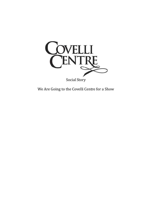

We Are Going to the Covelli Centre for a Show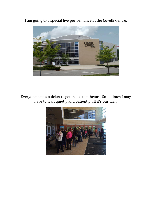I am going to a special live performance at the Covelli Centre.



Everyone needs a ticket to get inside the theatre. Sometimes I may have to wait quietly and patiently till it's our turn.

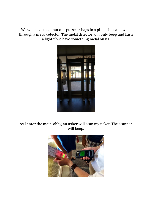We will have to go put our purse or bags in a plastic box and walk through a metal detector. The metal detector will only beep and flash a light if we have something metal on us.



As I enter the main lobby, an usher will scan my ticket. The scanner will beep.

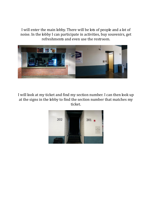I will enter the main lobby. There will be lots of people and a lot of noise. In the lobby I can participate in activities, buy souvenirs, get refreshments and even use the restroom.



I will look at my ticket and find my section number. I can then look up at the signs in the lobby to find the section number that matches my ticket.

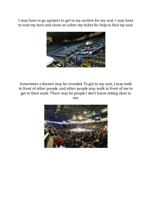I may have to go upstairs to get to my section for my seat. I may have to wait my turn and show an usher my ticket for help to find my seat.



Sometimes a theatre may be crowded. To get to my seat, I may walk in front of other people, and other people may walk in front of me to get to their seats. There may be people I don't know sitting close to me.

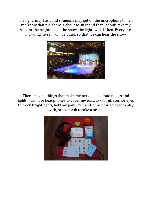The lights may flash and someone may get on the microphone to help me know that the show is about to start and that I should take my seat. At the beginning of the show, the lights will darken. Everyone, including myself, will be quiet, so that we can hear the show.



There may be things that make me nervous like loud noises and lights. I can: use headphones to cover my ears, ask for glasses for eyes to block bright lights, hold my parent's hand, or ask for a fidget to play with, or even ask to take a break.

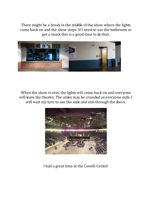There might be a break in the middle of the show where the lights come back on and the show stops. If I need to use the bathroom or get a snack this is a good time to do that.



When the show is over, the lights will come back on and everyone will leave the theatre. The aisles may be crowded as everyone exits. I will wait my turn to use the aisle and exit through the doors.



I had a great time at the Covelli Centre!